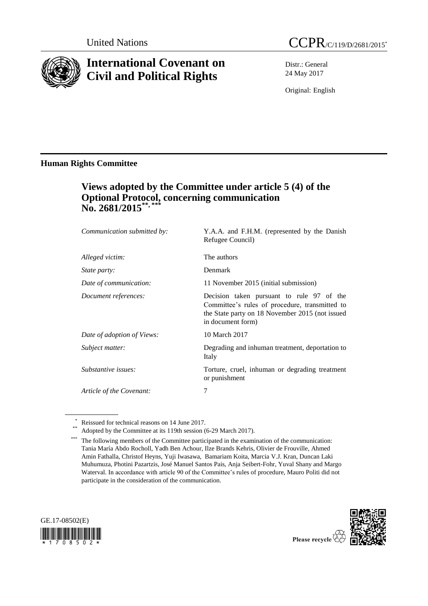

# **International Covenant on Civil and Political Rights**

Distr.: General 24 May 2017

Original: English

### **Human Rights Committee**

## **Views adopted by the Committee under article 5 (4) of the Optional Protocol, concerning communication No. 2681/2015\*\*, \*\*\***

| Communication submitted by: | Y.A.A. and F.H.M. (represented by the Danish<br>Refugee Council)                                                                                                    |
|-----------------------------|---------------------------------------------------------------------------------------------------------------------------------------------------------------------|
| Alleged victim:             | The authors                                                                                                                                                         |
| <i>State party:</i>         | Denmark                                                                                                                                                             |
| Date of communication:      | 11 November 2015 (initial submission)                                                                                                                               |
| Document references:        | Decision taken pursuant to rule 97 of the<br>Committee's rules of procedure, transmitted to<br>the State party on 18 November 2015 (not issued<br>in document form) |
| Date of adoption of Views:  | 10 March 2017                                                                                                                                                       |
| Subject matter:             | Degrading and inhuman treatment, deportation to<br>Italy                                                                                                            |
| Substantive issues:         | Torture, cruel, inhuman or degrading treatment<br>or punishment                                                                                                     |
| Article of the Covenant:    | 7                                                                                                                                                                   |
|                             |                                                                                                                                                                     |

Reissued for technical reasons on 14 June 2017.





Adopted by the Committee at its 119th session (6-29 March 2017).

The following members of the Committee participated in the examination of the communication: Tania María Abdo Rocholl, Yadh Ben Achour, Ilze Brands Kehris, Olivier de Frouville, Ahmed Amin Fathalla, Christof Heyns, Yuji Iwasawa, Bamariam Koita, Marcia V.J. Kran, Duncan Laki Muhumuza, Photini Pazartzis, José Manuel Santos Pais, Anja Seibert-Fohr, Yuval Shany and Margo Waterval. In accordance with article 90 of the Committee's rules of procedure, Mauro Politi did not participate in the consideration of the communication.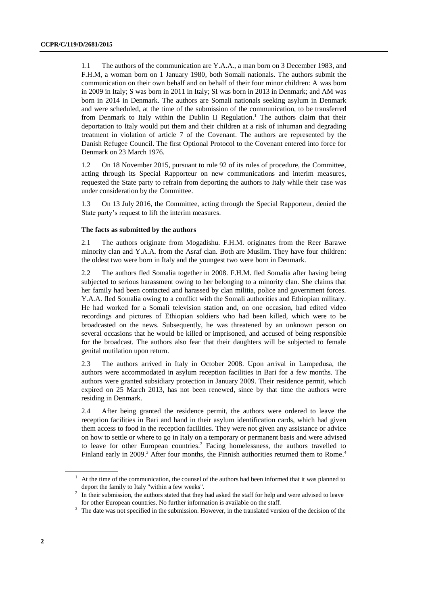1.1 The authors of the communication are Y.A.A., a man born on 3 December 1983, and F.H.M, a woman born on 1 January 1980, both Somali nationals. The authors submit the communication on their own behalf and on behalf of their four minor children: A was born in 2009 in Italy; S was born in 2011 in Italy; SI was born in 2013 in Denmark; and AM was born in 2014 in Denmark. The authors are Somali nationals seeking asylum in Denmark and were scheduled, at the time of the submission of the communication, to be transferred from Denmark to Italy within the Dublin II Regulation.<sup>1</sup> The authors claim that their deportation to Italy would put them and their children at a risk of inhuman and degrading treatment in violation of article 7 of the Covenant. The authors are represented by the Danish Refugee Council. The first Optional Protocol to the Covenant entered into force for Denmark on 23 March 1976.

1.2 On 18 November 2015, pursuant to rule 92 of its rules of procedure, the Committee, acting through its Special Rapporteur on new communications and interim measures, requested the State party to refrain from deporting the authors to Italy while their case was under consideration by the Committee.

1.3 On 13 July 2016, the Committee, acting through the Special Rapporteur, denied the State party's request to lift the interim measures.

#### **The facts as submitted by the authors**

2.1 The authors originate from Mogadishu. F.H.M. originates from the Reer Barawe minority clan and Y.A.A. from the Asraf clan. Both are Muslim. They have four children: the oldest two were born in Italy and the youngest two were born in Denmark.

2.2 The authors fled Somalia together in 2008. F.H.M. fled Somalia after having being subjected to serious harassment owing to her belonging to a minority clan. She claims that her family had been contacted and harassed by clan militia, police and government forces. Y.A.A. fled Somalia owing to a conflict with the Somali authorities and Ethiopian military. He had worked for a Somali television station and, on one occasion, had edited video recordings and pictures of Ethiopian soldiers who had been killed, which were to be broadcasted on the news. Subsequently, he was threatened by an unknown person on several occasions that he would be killed or imprisoned, and accused of being responsible for the broadcast. The authors also fear that their daughters will be subjected to female genital mutilation upon return.

2.3 The authors arrived in Italy in October 2008. Upon arrival in Lampedusa, the authors were accommodated in asylum reception facilities in Bari for a few months. The authors were granted subsidiary protection in January 2009. Their residence permit, which expired on 25 March 2013, has not been renewed, since by that time the authors were residing in Denmark.

2.4 After being granted the residence permit, the authors were ordered to leave the reception facilities in Bari and hand in their asylum identification cards, which had given them access to food in the reception facilities. They were not given any assistance or advice on how to settle or where to go in Italy on a temporary or permanent basis and were advised to leave for other European countries. <sup>2</sup> Facing homelessness, the authors travelled to Finland early in 2009.<sup>3</sup> After four months, the Finnish authorities returned them to Rome.<sup>4</sup>

<sup>1</sup> At the time of the communication, the counsel of the authors had been informed that it was planned to deport the family to Italy "within a few weeks".

<sup>2</sup> In their submission, the authors stated that they had asked the staff for help and were advised to leave for other European countries. No further information is available on the staff.

<sup>&</sup>lt;sup>3</sup> The date was not specified in the submission. However, in the translated version of the decision of the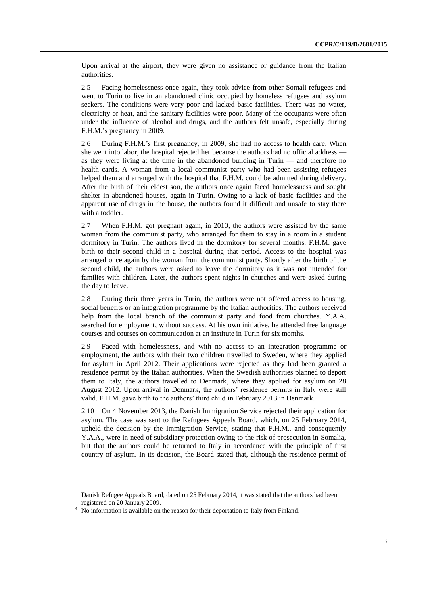Upon arrival at the airport, they were given no assistance or guidance from the Italian authorities.

2.5 Facing homelessness once again, they took advice from other Somali refugees and went to Turin to live in an abandoned clinic occupied by homeless refugees and asylum seekers. The conditions were very poor and lacked basic facilities. There was no water, electricity or heat, and the sanitary facilities were poor. Many of the occupants were often under the influence of alcohol and drugs, and the authors felt unsafe, especially during F.H.M.'s pregnancy in 2009.

2.6 During F.H.M.'s first pregnancy, in 2009, she had no access to health care. When she went into labor, the hospital rejected her because the authors had no official address as they were living at the time in the abandoned building in Turin — and therefore no health cards. A woman from a local communist party who had been assisting refugees helped them and arranged with the hospital that F.H.M. could be admitted during delivery. After the birth of their eldest son, the authors once again faced homelessness and sought shelter in abandoned houses, again in Turin. Owing to a lack of basic facilities and the apparent use of drugs in the house, the authors found it difficult and unsafe to stay there with a toddler.

2.7 When F.H.M. got pregnant again, in 2010, the authors were assisted by the same woman from the communist party, who arranged for them to stay in a room in a student dormitory in Turin. The authors lived in the dormitory for several months. F.H.M. gave birth to their second child in a hospital during that period. Access to the hospital was arranged once again by the woman from the communist party. Shortly after the birth of the second child, the authors were asked to leave the dormitory as it was not intended for families with children. Later, the authors spent nights in churches and were asked during the day to leave.

2.8 During their three years in Turin, the authors were not offered access to housing, social benefits or an integration programme by the Italian authorities. The authors received help from the local branch of the communist party and food from churches. Y.A.A. searched for employment, without success. At his own initiative, he attended free language courses and courses on communication at an institute in Turin for six months.

2.9 Faced with homelessness, and with no access to an integration programme or employment, the authors with their two children travelled to Sweden, where they applied for asylum in April 2012. Their applications were rejected as they had been granted a residence permit by the Italian authorities. When the Swedish authorities planned to deport them to Italy, the authors travelled to Denmark, where they applied for asylum on 28 August 2012. Upon arrival in Denmark, the authors' residence permits in Italy were still valid. F.H.M. gave birth to the authors' third child in February 2013 in Denmark.

2.10 On 4 November 2013, the Danish Immigration Service rejected their application for asylum. The case was sent to the Refugees Appeals Board, which, on 25 February 2014, upheld the decision by the Immigration Service, stating that F.H.M., and consequently Y.A.A., were in need of subsidiary protection owing to the risk of prosecution in Somalia, but that the authors could be returned to Italy in accordance with the principle of first country of asylum. In its decision, the Board stated that, although the residence permit of

Danish Refugee Appeals Board, dated on 25 February 2014, it was stated that the authors had been registered on 20 January 2009.

<sup>&</sup>lt;sup>4</sup> No information is available on the reason for their deportation to Italy from Finland.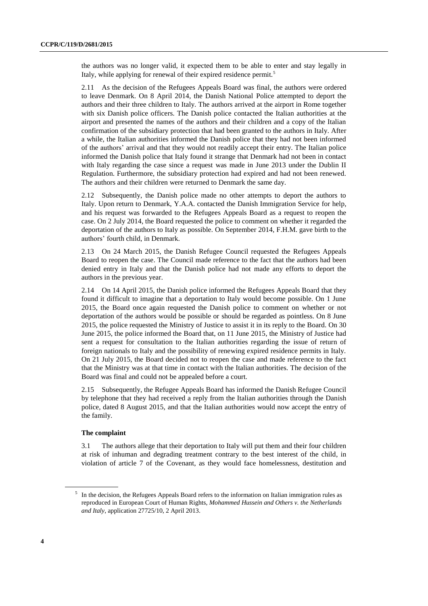the authors was no longer valid, it expected them to be able to enter and stay legally in Italy, while applying for renewal of their expired residence permit.<sup>5</sup>

2.11 As the decision of the Refugees Appeals Board was final, the authors were ordered to leave Denmark. On 8 April 2014, the Danish National Police attempted to deport the authors and their three children to Italy. The authors arrived at the airport in Rome together with six Danish police officers. The Danish police contacted the Italian authorities at the airport and presented the names of the authors and their children and a copy of the Italian confirmation of the subsidiary protection that had been granted to the authors in Italy. After a while, the Italian authorities informed the Danish police that they had not been informed of the authors' arrival and that they would not readily accept their entry. The Italian police informed the Danish police that Italy found it strange that Denmark had not been in contact with Italy regarding the case since a request was made in June 2013 under the Dublin II Regulation. Furthermore, the subsidiary protection had expired and had not been renewed. The authors and their children were returned to Denmark the same day.

2.12 Subsequently, the Danish police made no other attempts to deport the authors to Italy. Upon return to Denmark, Y.A.A. contacted the Danish Immigration Service for help, and his request was forwarded to the Refugees Appeals Board as a request to reopen the case. On 2 July 2014, the Board requested the police to comment on whether it regarded the deportation of the authors to Italy as possible. On September 2014, F.H.M. gave birth to the authors' fourth child, in Denmark.

2.13 On 24 March 2015, the Danish Refugee Council requested the Refugees Appeals Board to reopen the case. The Council made reference to the fact that the authors had been denied entry in Italy and that the Danish police had not made any efforts to deport the authors in the previous year.

2.14 On 14 April 2015, the Danish police informed the Refugees Appeals Board that they found it difficult to imagine that a deportation to Italy would become possible. On 1 June 2015, the Board once again requested the Danish police to comment on whether or not deportation of the authors would be possible or should be regarded as pointless. On 8 June 2015, the police requested the Ministry of Justice to assist it in its reply to the Board. On 30 June 2015, the police informed the Board that, on 11 June 2015, the Ministry of Justice had sent a request for consultation to the Italian authorities regarding the issue of return of foreign nationals to Italy and the possibility of renewing expired residence permits in Italy. On 21 July 2015, the Board decided not to reopen the case and made reference to the fact that the Ministry was at that time in contact with the Italian authorities. The decision of the Board was final and could not be appealed before a court.

2.15 Subsequently, the Refugee Appeals Board has informed the Danish Refugee Council by telephone that they had received a reply from the Italian authorities through the Danish police, dated 8 August 2015, and that the Italian authorities would now accept the entry of the family.

#### **The complaint**

3.1 The authors allege that their deportation to Italy will put them and their four children at risk of inhuman and degrading treatment contrary to the best interest of the child, in violation of article 7 of the Covenant, as they would face homelessness, destitution and

<sup>&</sup>lt;sup>5</sup> In the decision, the Refugees Appeals Board refers to the information on Italian immigration rules as reproduced in European Court of Human Rights, *Mohammed Hussein and Others v. the Netherlands and Italy*, application 27725/10, 2 April 2013.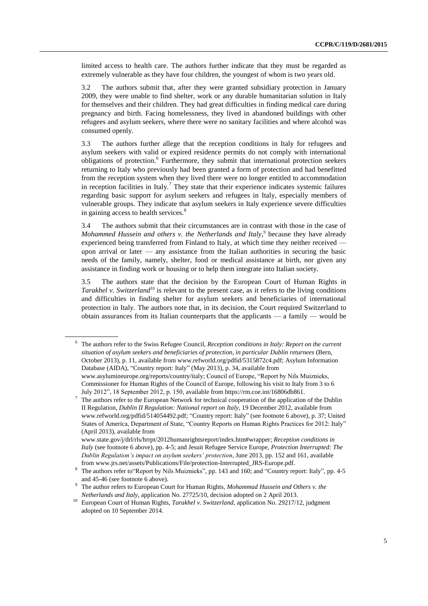limited access to health care. The authors further indicate that they must be regarded as extremely vulnerable as they have four children, the youngest of whom is two years old.

3.2 The authors submit that, after they were granted subsidiary protection in January 2009, they were unable to find shelter, work or any durable humanitarian solution in Italy for themselves and their children. They had great difficulties in finding medical care during pregnancy and birth. Facing homelessness, they lived in abandoned buildings with other refugees and asylum seekers, where there were no sanitary facilities and where alcohol was consumed openly.

3.3 The authors further allege that the reception conditions in Italy for refugees and asylum seekers with valid or expired residence permits do not comply with international obligations of protection.<sup>6</sup> Furthermore, they submit that international protection seekers returning to Italy who previously had been granted a form of protection and had benefitted from the reception system when they lived there were no longer entitled to accommodation in reception facilities in Italy.<sup>7</sup> They state that their experience indicates systemic failures regarding basic support for asylum seekers and refugees in Italy, especially members of vulnerable groups. They indicate that asylum seekers in Italy experience severe difficulties in gaining access to health services.<sup>8</sup>

3.4 The authors submit that their circumstances are in contrast with those in the case of Mohammed Hussein and others v. the Netherlands and Italy,<sup>9</sup> because they have already experienced being transferred from Finland to Italy, at which time they neither received upon arrival or later  $-$  any assistance from the Italian authorities in securing the basic needs of the family, namely, shelter, food or medical assistance at birth, nor given any assistance in finding work or housing or to help them integrate into Italian society.

3.5 The authors state that the decision by the European Court of Human Rights in *Tarakhel v. Switzerland*<sup>10</sup> is relevant to the present case, as it refers to the living conditions and difficulties in finding shelter for asylum seekers and beneficiaries of international protection in Italy. The authors note that, in its decision, the Court required Switzerland to obtain assurances from its Italian counterparts that the applicants — a family — would be

<sup>6</sup> The authors refer to the Swiss Refugee Council, *Reception conditions in Italy: Report on the current situation of asylum seekers and beneficiaries of protection, in particular Dublin returnees* (Bern, October 2013), p. 11, available from www.refworld.org/pdfid/5315872c4.pdf; Asylum Information Database (AIDA), "Country report: Italy" (May 2013), p. 34, available from www.asylumineurope.org/reports/country/italy; Council of Europe, "Report by Nils Muiznieks, Commissioner for Human Rights of the Council of Europe, following his visit to Italy from 3 to 6 July 2012", 18 September 2012, p. 150, available from [https://rm.coe.int/16806db861.](https://rm.coe.int/16806db861)

<sup>7</sup> The authors refer to the European Network for technical cooperation of the application of the Dublin II Regulation, *Dublin II Regulation: National report on Italy*, 19 December 2012, available from www.refworld.org/pdfid/514054492.pdf; "Country report: Italy" (see footnote 6 above), p. 37; United States of America, Department of State, "Country Reports on Human Rights Practices for 2012: Italy" (April 2013), available from

www.state.gov/j/drl/rls/hrrpt/2012humanrightsreport/index.htm#wrapper; *Reception conditions in Italy* (see footnote 6 above), pp. 4-5; and Jesuit Refugee Service Europe, *Protection Interrupted: The Dublin Regulation's impact on asylum seekers' protection*, June 2013, pp. 152 and 161, available from www.jrs.net/assets/Publications/File/protection-Interrupted\_JRS-Europe.pdf.

<sup>&</sup>lt;sup>8</sup> The authors refer to "Report by Nils Muiznieks", pp. 143 and 160; and "Country report: Italy", pp. 4-5 and 45-46 (see footnote 6 above).

<sup>9</sup> The author refers to European Court for Human Rights, *Mohammad Hussein and Others v. the Netherlands and Italy*, application No. 27725/10, decision adopted on 2 April 2013.

<sup>10</sup> European Court of Human Rights, *Tarakhel v. Switzerland,* application No. 29217/12, judgment adopted on 10 September 2014.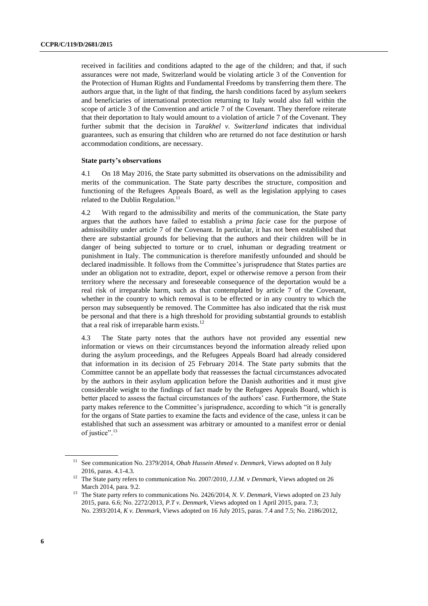received in facilities and conditions adapted to the age of the children; and that, if such assurances were not made, Switzerland would be violating article 3 of the Convention for the Protection of Human Rights and Fundamental Freedoms by transferring them there. The authors argue that, in the light of that finding, the harsh conditions faced by asylum seekers and beneficiaries of international protection returning to Italy would also fall within the scope of article 3 of the Convention and article 7 of the Covenant. They therefore reiterate that their deportation to Italy would amount to a violation of article 7 of the Covenant. They further submit that the decision in *Tarakhel v. Switzerland* indicates that individual guarantees, such as ensuring that children who are returned do not face destitution or harsh accommodation conditions, are necessary.

#### **State party's observations**

4.1 On 18 May 2016, the State party submitted its observations on the admissibility and merits of the communication. The State party describes the structure, composition and functioning of the Refugees Appeals Board, as well as the legislation applying to cases related to the Dublin Regulation.<sup>11</sup>

4.2 With regard to the admissibility and merits of the communication, the State party argues that the authors have failed to establish a *prima facie* case for the purpose of admissibility under article 7 of the Covenant. In particular, it has not been established that there are substantial grounds for believing that the authors and their children will be in danger of being subjected to torture or to cruel, inhuman or degrading treatment or punishment in Italy. The communication is therefore manifestly unfounded and should be declared inadmissible. It follows from the Committee's jurisprudence that States parties are under an obligation not to extradite, deport, expel or otherwise remove a person from their territory where the necessary and foreseeable consequence of the deportation would be a real risk of irreparable harm, such as that contemplated by article 7 of the Covenant, whether in the country to which removal is to be effected or in any country to which the person may subsequently be removed. The Committee has also indicated that the risk must be personal and that there is a high threshold for providing substantial grounds to establish that a real risk of irreparable harm exists. $^{12}$ 

4.3 The State party notes that the authors have not provided any essential new information or views on their circumstances beyond the information already relied upon during the asylum proceedings, and the Refugees Appeals Board had already considered that information in its decision of 25 February 2014. The State party submits that the Committee cannot be an appellate body that reassesses the factual circumstances advocated by the authors in their asylum application before the Danish authorities and it must give considerable weight to the findings of fact made by the Refugees Appeals Board, which is better placed to assess the factual circumstances of the authors' case. Furthermore, the State party makes reference to the Committee's jurisprudence, according to which "it is generally for the organs of State parties to examine the facts and evidence of the case, unless it can be established that such an assessment was arbitrary or amounted to a manifest error or denial of justice".<sup>13</sup>

<sup>&</sup>lt;sup>11</sup> See communication No. 2379/2014, *Obah Hussein Ahmed v. Denmark*, Views adopted on 8 July 2016, paras. 4.1-4.3.

<sup>12</sup> The State party refers to communication No. 2007/2010*, J.J.M. v Denmark*, Views adopted on 26 March 2014, para. 9.2.

<sup>&</sup>lt;sup>13</sup> The State party refers to communications No. 2426/2014, *N. V. Denmark*, Views adopted on 23 July 2015, para. 6.6; No. 2272/2013, *P.T v. Denmark*, Views adopted on 1 April 2015, para. 7.3; No. 2393/2014, *K v. Denmark*, Views adopted on 16 July 2015, paras. 7.4 and 7.5; No. 2186/2012,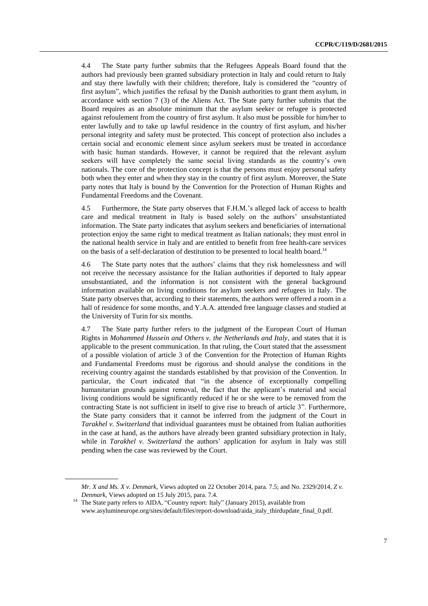4.4 The State party further submits that the Refugees Appeals Board found that the authors had previously been granted subsidiary protection in Italy and could return to Italy and stay there lawfully with their children; therefore, Italy is considered the "country of first asylum", which justifies the refusal by the Danish authorities to grant them asylum, in accordance with section 7 (3) of the Aliens Act. The State party further submits that the Board requires as an absolute minimum that the asylum seeker or refugee is protected against refoulement from the country of first asylum. It also must be possible for him/her to enter lawfully and to take up lawful residence in the country of first asylum, and his/her personal integrity and safety must be protected. This concept of protection also includes a certain social and economic element since asylum seekers must be treated in accordance with basic human standards. However, it cannot be required that the relevant asylum seekers will have completely the same social living standards as the country's own nationals. The core of the protection concept is that the persons must enjoy personal safety both when they enter and when they stay in the country of first asylum. Moreover, the State party notes that Italy is bound by the Convention for the Protection of Human Rights and Fundamental Freedoms and the Covenant.

4.5 Furthermore, the State party observes that F.H.M.'s alleged lack of access to health care and medical treatment in Italy is based solely on the authors' unsubstantiated information. The State party indicates that asylum seekers and beneficiaries of international protection enjoy the same right to medical treatment as Italian nationals; they must enrol in the national health service in Italy and are entitled to benefit from free health-care services on the basis of a self-declaration of destitution to be presented to local health board.<sup>14</sup>

4.6 The State party notes that the authors' claims that they risk homelessness and will not receive the necessary assistance for the Italian authorities if deported to Italy appear unsubstantiated, and the information is not consistent with the general background information available on living conditions for asylum seekers and refugees in Italy. The State party observes that, according to their statements, the authors were offered a room in a hall of residence for some months, and Y.A.A. attended free language classes and studied at the University of Turin for six months.

4.7 The State party further refers to the judgment of the European Court of Human Rights in *Mohammed Hussein and Others v. the Netherlands and Italy*, and states that it is applicable to the present communication. In that ruling, the Court stated that the assessment of a possible violation of article 3 of the Convention for the Protection of Human Rights and Fundamental Freedoms must be rigorous and should analyse the conditions in the receiving country against the standards established by that provision of the Convention. In particular, the Court indicated that "in the absence of exceptionally compelling humanitarian grounds against removal, the fact that the applicant's material and social living conditions would be significantly reduced if he or she were to be removed from the contracting State is not sufficient in itself to give rise to breach of article 3". Furthermore, the State party considers that it cannot be inferred from the judgment of the Court in *Tarakhel v. Switzerland* that individual guarantees must be obtained from Italian authorities in the case at hand, as the authors have already been granted subsidiary protection in Italy, while in *Tarakhel v. Switzerland* the authors' application for asylum in Italy was still pending when the case was reviewed by the Court.

7

*Mr. X and Ms. X v. Denmark*, Views adopted on 22 October 2014, para. 7.5; and No. 2329/2014, *Z v. Denmark*, Views adopted on 15 July 2015, para. 7.4.

<sup>&</sup>lt;sup>14</sup> The State party refers to AIDA, "Country report: Italy" (January 2015), available from [www.asylumineurope.org/sites/default/files/report-download/aida\\_italy\\_thirdupdate\\_final\\_0.pdf.](http://www.asylumineurope.org/sites/default/files/report-download/aida_italy_thirdupdate_final_0.pdf)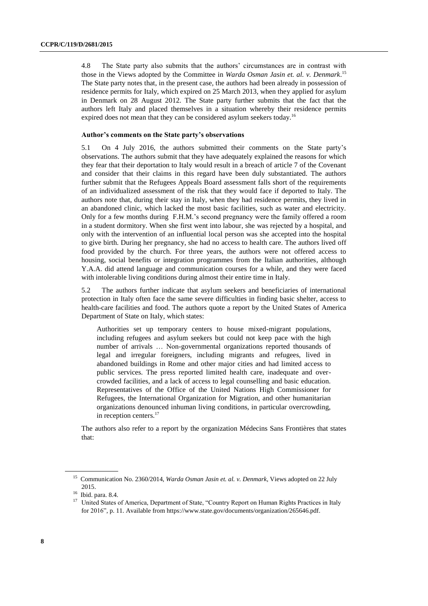4.8 The State party also submits that the authors' circumstances are in contrast with those in the Views adopted by the Committee in *Warda Osman Jasin et. al. v. Denmark*. 15 The State party notes that, in the present case, the authors had been already in possession of residence permits for Italy, which expired on 25 March 2013, when they applied for asylum in Denmark on 28 August 2012. The State party further submits that the fact that the authors left Italy and placed themselves in a situation whereby their residence permits expired does not mean that they can be considered asylum seekers today.<sup>16</sup>

#### **Author's comments on the State party's observations**

5.1 On 4 July 2016, the authors submitted their comments on the State party's observations. The authors submit that they have adequately explained the reasons for which they fear that their deportation to Italy would result in a breach of article 7 of the Covenant and consider that their claims in this regard have been duly substantiated. The authors further submit that the Refugees Appeals Board assessment falls short of the requirements of an individualized assessment of the risk that they would face if deported to Italy. The authors note that, during their stay in Italy, when they had residence permits, they lived in an abandoned clinic, which lacked the most basic facilities, such as water and electricity. Only for a few months during F.H.M.'s second pregnancy were the family offered a room in a student dormitory. When she first went into labour, she was rejected by a hospital, and only with the intervention of an influential local person was she accepted into the hospital to give birth. During her pregnancy, she had no access to health care. The authors lived off food provided by the church. For three years, the authors were not offered access to housing, social benefits or integration programmes from the Italian authorities, although Y.A.A. did attend language and communication courses for a while, and they were faced with intolerable living conditions during almost their entire time in Italy.

5.2 The authors further indicate that asylum seekers and beneficiaries of international protection in Italy often face the same severe difficulties in finding basic shelter, access to health-care facilities and food. The authors quote a report by the United States of America Department of State on Italy, which states:

Authorities set up temporary centers to house mixed-migrant populations, including refugees and asylum seekers but could not keep pace with the high number of arrivals … Non-governmental organizations reported thousands of legal and irregular foreigners, including migrants and refugees, lived in abandoned buildings in Rome and other major cities and had limited access to public services. The press reported limited health care, inadequate and overcrowded facilities, and a lack of access to legal counselling and basic education. Representatives of the Office of the United Nations High Commissioner for Refugees, the International Organization for Migration, and other humanitarian organizations denounced inhuman living conditions, in particular overcrowding, in reception centers.<sup>17</sup>

The authors also refer to a report by the organization Médecins Sans Frontières that states that:

<sup>15</sup> Communication No. 2360/2014, *Warda Osman Jasin et. al. v. Denmark*, Views adopted on 22 July 2015.

<sup>16</sup> Ibid. para. 8.4.

<sup>&</sup>lt;sup>17</sup> United States of America, Department of State, "Country Report on Human Rights Practices in Italy for 2016", p. 11. Available from https://www.state.gov/documents/organization/265646.pdf.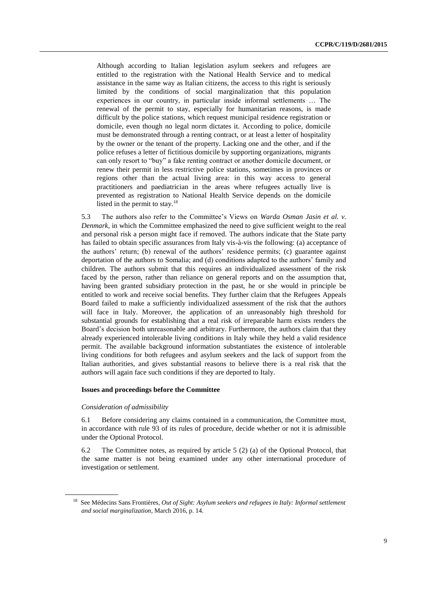Although according to Italian legislation asylum seekers and refugees are entitled to the registration with the National Health Service and to medical assistance in the same way as Italian citizens, the access to this right is seriously limited by the conditions of social marginalization that this population experiences in our country, in particular inside informal settlements … The renewal of the permit to stay, especially for humanitarian reasons, is made difficult by the police stations, which request municipal residence registration or domicile, even though no legal norm dictates it. According to police, domicile must be demonstrated through a renting contract, or at least a letter of hospitality by the owner or the tenant of the property. Lacking one and the other, and if the police refuses a letter of fictitious domicile by supporting organizations, migrants can only resort to "buy" a fake renting contract or another domicile document, or renew their permit in less restrictive police stations, sometimes in provinces or regions other than the actual living area: in this way access to general practitioners and paediatrician in the areas where refugees actually live is prevented as registration to National Health Service depends on the domicile listed in the permit to stay.<sup>18</sup>

5.3 The authors also refer to the Committee's Views on *Warda Osman Jasin et al. v. Denmark*, in which the Committee emphasized the need to give sufficient weight to the real and personal risk a person might face if removed. The authors indicate that the State party has failed to obtain specific assurances from Italy vis-à-vis the following: (a) acceptance of the authors' return; (b) renewal of the authors' residence permits; (c) guarantee against deportation of the authors to Somalia; and (d) conditions adapted to the authors' family and children. The authors submit that this requires an individualized assessment of the risk faced by the person, rather than reliance on general reports and on the assumption that, having been granted subsidiary protection in the past, he or she would in principle be entitled to work and receive social benefits. They further claim that the Refugees Appeals Board failed to make a sufficiently individualized assessment of the risk that the authors will face in Italy. Moreover, the application of an unreasonably high threshold for substantial grounds for establishing that a real risk of irreparable harm exists renders the Board's decision both unreasonable and arbitrary. Furthermore, the authors claim that they already experienced intolerable living conditions in Italy while they held a valid residence permit. The available background information substantiates the existence of intolerable living conditions for both refugees and asylum seekers and the lack of support from the Italian authorities, and gives substantial reasons to believe there is a real risk that the authors will again face such conditions if they are deported to Italy.

#### **Issues and proceedings before the Committee**

#### *Consideration of admissibility*

6.1 Before considering any claims contained in a communication, the Committee must, in accordance with rule 93 of its rules of procedure, decide whether or not it is admissible under the Optional Protocol.

6.2 The Committee notes, as required by article 5 (2) (a) of the Optional Protocol, that the same matter is not being examined under any other international procedure of investigation or settlement.

<sup>&</sup>lt;sup>18</sup> See Médecins Sans Frontières, *Out of Sight: Asylum seekers and refugees in Italy: Informal settlement and social marginalization*, March 2016, p. 14.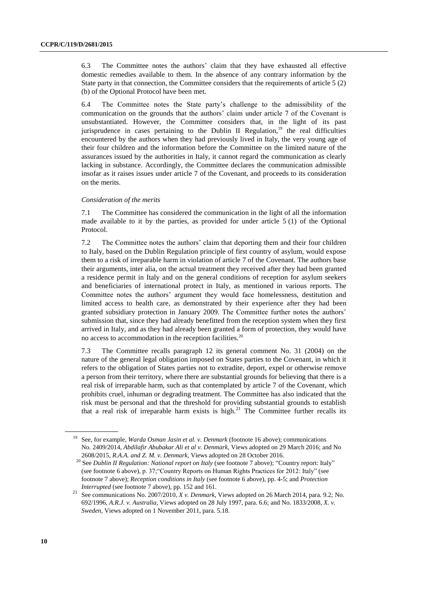6.3 The Committee notes the authors' claim that they have exhausted all effective domestic remedies available to them. In the absence of any contrary information by the State party in that connection, the Committee considers that the requirements of article 5 (2) (b) of the Optional Protocol have been met.

6.4 The Committee notes the State party's challenge to the admissibility of the communication on the grounds that the authors' claim under article 7 of the Covenant is unsubstantiated. However, the Committee considers that, in the light of its past jurisprudence in cases pertaining to the Dublin II Regulation,<sup>19</sup> the real difficulties encountered by the authors when they had previously lived in Italy, the very young age of their four children and the information before the Committee on the limited nature of the assurances issued by the authorities in Italy, it cannot regard the communication as clearly lacking in substance. Accordingly, the Committee declares the communication admissible insofar as it raises issues under article 7 of the Covenant, and proceeds to its consideration on the merits.

#### *Consideration of the merits*

7.1 The Committee has considered the communication in the light of all the information made available to it by the parties, as provided for under article 5 (1) of the Optional Protocol.

7.2 The Committee notes the authors' claim that deporting them and their four children to Italy, based on the Dublin Regulation principle of first country of asylum, would expose them to a risk of irreparable harm in violation of article 7 of the Covenant. The authors base their arguments, inter alia, on the actual treatment they received after they had been granted a residence permit in Italy and on the general conditions of reception for asylum seekers and beneficiaries of international protect in Italy, as mentioned in various reports. The Committee notes the authors' argument they would face homelessness, destitution and limited access to health care, as demonstrated by their experience after they had been granted subsidiary protection in January 2009. The Committee further notes the authors' submission that, since they had already benefitted from the reception system when they first arrived in Italy, and as they had already been granted a form of protection, they would have no access to accommodation in the reception facilities.<sup>20</sup>

7.3 The Committee recalls paragraph 12 its general comment No. 31 (2004) on the nature of the general legal obligation imposed on States parties to the Covenant, in which it refers to the obligation of States parties not to extradite, deport, expel or otherwise remove a person from their territory, where there are substantial grounds for believing that there is a real risk of irreparable harm, such as that contemplated by article 7 of the Covenant, which prohibits cruel, inhuman or degrading treatment. The Committee has also indicated that the risk must be personal and that the threshold for providing substantial grounds to establish that a real risk of irreparable harm exists is high.<sup>21</sup> The Committee further recalls its

<sup>19</sup> See, for example, *Warda Osman Jasin et al. v. Denmark* (footnote 16 above); communications No. 2409/2014, *Abdilafir Abubakar Ali et al v. Denmark*, Views adopted on 29 March 2016; and No 2608/2015, *R.A.A. and Z. M. v. Denmark*, Views adopted on 28 October 2016.

<sup>20</sup> See *Dublin II Regulation: National report on Italy* (see footnote 7 above); "Country report: Italy" (see footnote 6 above), p. 37;"Country Reports on Human Rights Practices for 2012: Italy" (see footnote 7 above); *Reception conditions in Italy* (see footnote 6 above), pp. 4-5; and *Protection Interrupted* (see footnote 7 above), pp. 152 and 161.

<sup>21</sup> See communications No. 2007/2010, *X v. Denmark*, Views adopted on 26 March 2014, para. 9.2; No. 692/1996, *A.R.J. v. Australia,* Views adopted on 28 July 1997, para. 6.6; and No. 1833/2008*, X. v. Sweden*, Views adopted on 1 November 2011, para. 5.18.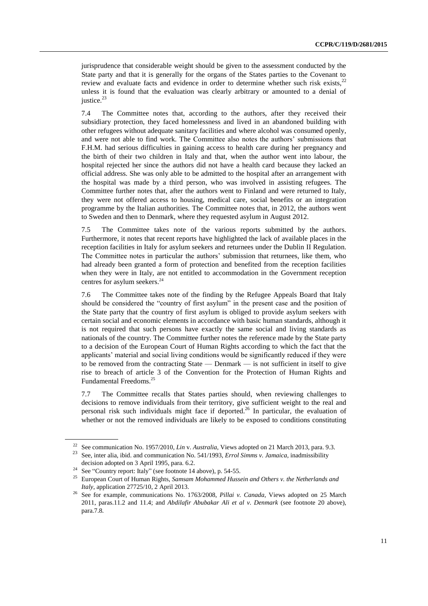jurisprudence that considerable weight should be given to the assessment conducted by the State party and that it is generally for the organs of the States parties to the Covenant to review and evaluate facts and evidence in order to determine whether such risk exists, $2^2$ unless it is found that the evaluation was clearly arbitrary or amounted to a denial of justice.<sup>23</sup>

7.4 The Committee notes that, according to the authors, after they received their subsidiary protection, they faced homelessness and lived in an abandoned building with other refugees without adequate sanitary facilities and where alcohol was consumed openly, and were not able to find work. The Committee also notes the authors' submissions that F.H.M. had serious difficulties in gaining access to health care during her pregnancy and the birth of their two children in Italy and that, when the author went into labour, the hospital rejected her since the authors did not have a health card because they lacked an official address. She was only able to be admitted to the hospital after an arrangement with the hospital was made by a third person, who was involved in assisting refugees. The Committee further notes that, after the authors went to Finland and were returned to Italy, they were not offered access to housing, medical care, social benefits or an integration programme by the Italian authorities. The Committee notes that, in 2012, the authors went to Sweden and then to Denmark, where they requested asylum in August 2012.

7.5 The Committee takes note of the various reports submitted by the authors. Furthermore, it notes that recent reports have highlighted the lack of available places in the reception facilities in Italy for asylum seekers and returnees under the Dublin II Regulation. The Committee notes in particular the authors' submission that returnees, like them, who had already been granted a form of protection and benefited from the reception facilities when they were in Italy, are not entitled to accommodation in the Government reception centres for asylum seekers. 24

7.6 The Committee takes note of the finding by the Refugee Appeals Board that Italy should be considered the "country of first asylum" in the present case and the position of the State party that the country of first asylum is obliged to provide asylum seekers with certain social and economic elements in accordance with basic human standards, although it is not required that such persons have exactly the same social and living standards as nationals of the country. The Committee further notes the reference made by the State party to a decision of the European Court of Human Rights according to which the fact that the applicants' material and social living conditions would be significantly reduced if they were to be removed from the contracting State — Denmark — is not sufficient in itself to give rise to breach of article 3 of the Convention for the Protection of Human Rights and Fundamental Freedoms. 25

7.7 The Committee recalls that States parties should, when reviewing challenges to decisions to remove individuals from their territory, give sufficient weight to the real and personal risk such individuals might face if deported.<sup>26</sup> In particular, the evaluation of whether or not the removed individuals are likely to be exposed to conditions constituting

<sup>22</sup> See communication No. 1957/2010, *Lin* v. *Australia*, Views adopted on 21 March 2013, para. 9.3.

<sup>23</sup> See, inter alia, ibid. and communication No. 541/1993, *Errol Simms v. Jamaica*, inadmissibility decision adopted on 3 April 1995, para. 6.2.

<sup>&</sup>lt;sup>24</sup> See "Country report: Italy" (see footnote 14 above), p. 54-55.

<sup>25</sup> European Court of Human Rights, *Samsam Mohammed Hussein and Others v. the Netherlands and Italy*, application 27725/10, 2 April 2013.

<sup>26</sup> See for example, communications No. 1763/2008, *Pillai v. Canada*, Views adopted on 25 March 2011, paras.11.2 and 11.4; and *Abdilafir Abubakar Ali et al v. Denmark* (see footnote 20 above), para.7.8.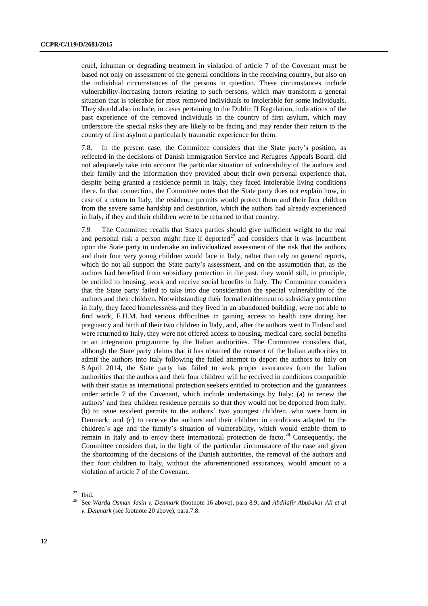cruel, inhuman or degrading treatment in violation of article 7 of the Covenant must be based not only on assessment of the general conditions in the receiving country, but also on the individual circumstances of the persons in question. These circumstances include vulnerability-increasing factors relating to such persons, which may transform a general situation that is tolerable for most removed individuals to intolerable for some individuals. They should also include, in cases pertaining to the Dublin II Regulation, indications of the past experience of the removed individuals in the country of first asylum, which may underscore the special risks they are likely to be facing and may render their return to the country of first asylum a particularly traumatic experience for them.

7.8. In the present case, the Committee considers that the State party's position, as reflected in the decisions of Danish Immigration Service and Refugees Appeals Board, did not adequately take into account the particular situation of vulnerability of the authors and their family and the information they provided about their own personal experience that, despite being granted a residence permit in Italy, they faced intolerable living conditions there. In that connection, the Committee notes that the State party does not explain how, in case of a return to Italy, the residence permits would protect them and their four children from the severe same hardship and destitution, which the authors had already experienced in Italy, if they and their children were to be returned to that country.

7.9 The Committee recalls that States parties should give sufficient weight to the real and personal risk a person might face if deported<sup>27</sup> and considers that it was incumbent upon the State party to undertake an individualized assessment of the risk that the authors and their four very young children would face in Italy, rather than rely on general reports, which do not all support the State party's assessment, and on the assumption that, as the authors had benefited from subsidiary protection in the past, they would still, in principle, be entitled to housing, work and receive social benefits in Italy. The Committee considers that the State party failed to take into due consideration the special vulnerability of the authors and their children. Notwithstanding their formal entitlement to subsidiary protection in Italy, they faced homelessness and they lived in an abandoned building, were not able to find work, F.H.M. had serious difficulties in gaining access to health care during her pregnancy and birth of their two children in Italy, and, after the authors went to Finland and were returned to Italy, they were not offered access to housing, medical care, social benefits or an integration programme by the Italian authorities. The Committee considers that, although the State party claims that it has obtained the consent of the Italian authorities to admit the authors into Italy following the failed attempt to deport the authors to Italy on 8 April 2014, the State party has failed to seek proper assurances from the Italian authorities that the authors and their four children will be received in conditions compatible with their status as international protection seekers entitled to protection and the guarantees under article 7 of the Covenant, which include undertakings by Italy: (a) to renew the authors' and their children residence permits so that they would not be deported from Italy; (b) to issue resident permits to the authors' two youngest children, who were born in Denmark; and (c) to receive the authors and their children in conditions adapted to the children's age and the family's situation of vulnerability, which would enable them to remain in Italy and to enjoy there international protection de facto.<sup>28</sup> Consequently, the Committee considers that, in the light of the particular circumstance of the case and given the shortcoming of the decisions of the Danish authorities, the removal of the authors and their four children to Italy, without the aforementioned assurances, would amount to a violation of article 7 of the Covenant.

<sup>27</sup> Ibid.

<sup>28</sup> See *Warda Osman Jasin v. Denmark* (footnote 16 above), para 8.9; and *Abdilafir Abubakar Ali et al v. Denmark* (see footnote 20 above), para.7.8.